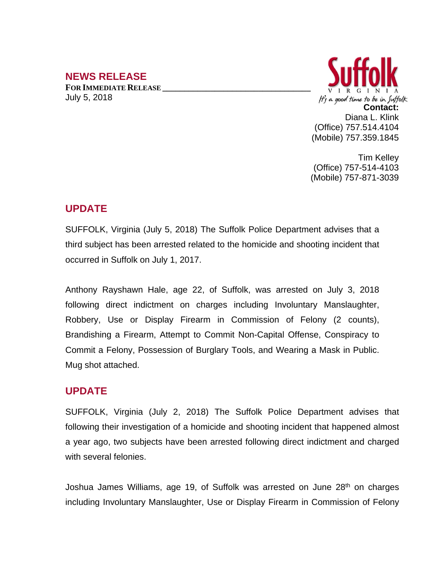## **NEWS RELEASE**

**FOR IMMEDIATE RELEASE \_\_\_\_\_\_\_\_\_\_\_\_\_\_\_\_\_\_\_\_\_\_\_\_\_\_\_\_\_\_\_\_\_\_** July 5, 2018



Tim Kelley (Office) 757-514-4103 (Mobile) 757-871-3039

## **UPDATE**

SUFFOLK, Virginia (July 5, 2018) The Suffolk Police Department advises that a third subject has been arrested related to the homicide and shooting incident that occurred in Suffolk on July 1, 2017.

Anthony Rayshawn Hale, age 22, of Suffolk, was arrested on July 3, 2018 following direct indictment on charges including Involuntary Manslaughter, Robbery, Use or Display Firearm in Commission of Felony (2 counts), Brandishing a Firearm, Attempt to Commit Non-Capital Offense, Conspiracy to Commit a Felony, Possession of Burglary Tools, and Wearing a Mask in Public. Mug shot attached.

## **UPDATE**

SUFFOLK, Virginia (July 2, 2018) The Suffolk Police Department advises that following their investigation of a homicide and shooting incident that happened almost a year ago, two subjects have been arrested following direct indictment and charged with several felonies.

Joshua James Williams, age 19, of Suffolk was arrested on June 28<sup>th</sup> on charges including Involuntary Manslaughter, Use or Display Firearm in Commission of Felony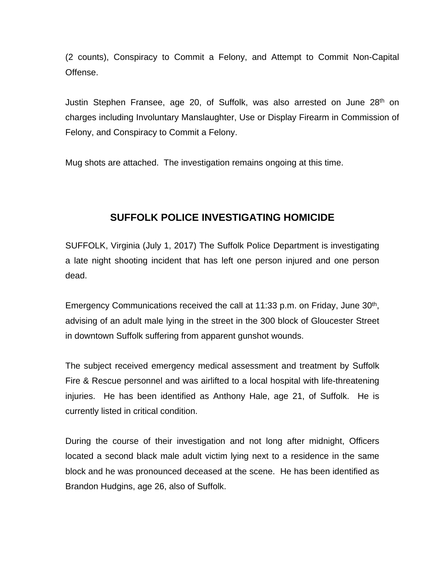(2 counts), Conspiracy to Commit a Felony, and Attempt to Commit Non-Capital Offense.

Justin Stephen Fransee, age 20, of Suffolk, was also arrested on June 28<sup>th</sup> on charges including Involuntary Manslaughter, Use or Display Firearm in Commission of Felony, and Conspiracy to Commit a Felony.

Mug shots are attached. The investigation remains ongoing at this time.

## **SUFFOLK POLICE INVESTIGATING HOMICIDE**

SUFFOLK, Virginia (July 1, 2017) The Suffolk Police Department is investigating a late night shooting incident that has left one person injured and one person dead.

Emergency Communications received the call at 11:33 p.m. on Friday, June 30<sup>th</sup>, advising of an adult male lying in the street in the 300 block of Gloucester Street in downtown Suffolk suffering from apparent gunshot wounds.

The subject received emergency medical assessment and treatment by Suffolk Fire & Rescue personnel and was airlifted to a local hospital with life-threatening injuries. He has been identified as Anthony Hale, age 21, of Suffolk. He is currently listed in critical condition.

During the course of their investigation and not long after midnight, Officers located a second black male adult victim lying next to a residence in the same block and he was pronounced deceased at the scene. He has been identified as Brandon Hudgins, age 26, also of Suffolk.